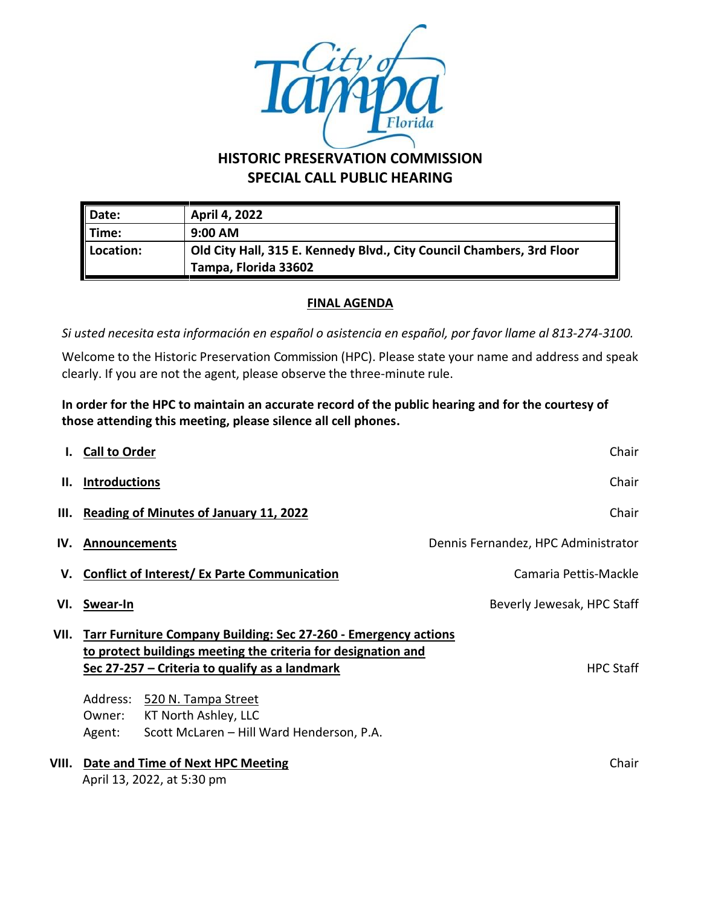

## **HISTORIC PRESERVATION COMMISSION SPECIAL CALL PUBLIC HEARING**

| Date:                | April 4, 2022                                                                                 |  |
|----------------------|-----------------------------------------------------------------------------------------------|--|
| $\blacksquare$ Time: | $9:00$ AM                                                                                     |  |
| Location:            | Old City Hall, 315 E. Kennedy Blvd., City Council Chambers, 3rd Floor<br>Tampa, Florida 33602 |  |

## **FINAL AGENDA**

*Si usted necesita esta información en español o asistencia en español, por favor llame al 813-274-3100.*

Welcome to the Historic Preservation Commission (HPC). Please state your name and address and speak clearly. If you are not the agent, please observe the three-minute rule.

**In order for the HPC to maintain an accurate record of the public hearing and for the courtesy of those attending this meeting, please silence all cell phones.**

|       | <b>Call to Order</b>                                                                                                                                                                                                         | Chair                               |
|-------|------------------------------------------------------------------------------------------------------------------------------------------------------------------------------------------------------------------------------|-------------------------------------|
| н.    | <b>Introductions</b>                                                                                                                                                                                                         | Chair                               |
| III.  | <b>Reading of Minutes of January 11, 2022</b>                                                                                                                                                                                | Chair                               |
| IV.   | <b>Announcements</b>                                                                                                                                                                                                         | Dennis Fernandez, HPC Administrator |
| V.    | <b>Conflict of Interest/ Ex Parte Communication</b>                                                                                                                                                                          | Camaria Pettis-Mackle               |
| VI.   | Swear-In                                                                                                                                                                                                                     | Beverly Jewesak, HPC Staff          |
| VII.  | <b>Tarr Furniture Company Building: Sec 27-260 - Emergency actions</b><br>to protect buildings meeting the criteria for designation and<br>Sec 27-257 – Criteria to qualify as a landmark<br>Address:<br>520 N. Tampa Street | <b>HPC Staff</b>                    |
|       | KT North Ashley, LLC<br>Owner:                                                                                                                                                                                               |                                     |
|       | Scott McLaren - Hill Ward Henderson, P.A.<br>Agent:                                                                                                                                                                          |                                     |
| VIII. | Date and Time of Next HPC Meeting<br>April 13, 2022, at 5:30 pm                                                                                                                                                              | Chair                               |